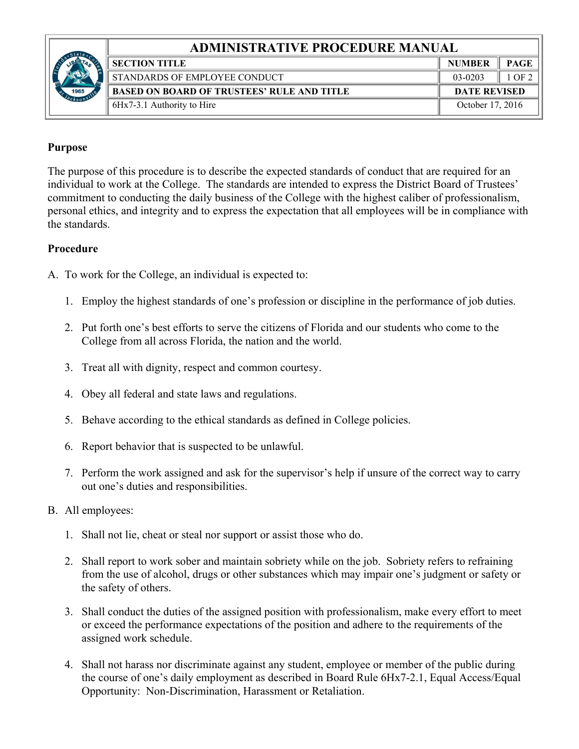## **ADMINISTRATIVE PROCEDURE MANUAL**



| <b>SECTION TITLE</b>                              | <b>NUMBER</b>       | <b>PAGE</b> |  |
|---------------------------------------------------|---------------------|-------------|--|
| STANDARDS OF EMPLOYEE CONDUCT                     | 03-0203             | 1 OF 2      |  |
| <b>BASED ON BOARD OF TRUSTEES' RULE AND TITLE</b> | <b>DATE REVISED</b> |             |  |
| 6Hx7-3.1 Authority to Hire                        | October 17, 2016    |             |  |
|                                                   |                     |             |  |

## **Purpose**

The purpose of this procedure is to describe the expected standards of conduct that are required for an individual to work at the College. The standards are intended to express the District Board of Trustees' commitment to conducting the daily business of the College with the highest caliber of professionalism, personal ethics, and integrity and to express the expectation that all employees will be in compliance with the standards.

## **Procedure**

A. To work for the College, an individual is expected to:

- 1. Employ the highest standards of one's profession or discipline in the performance of job duties.
- 2. Put forth one's best efforts to serve the citizens of Florida and our students who come to the College from all across Florida, the nation and the world.
- 3. Treat all with dignity, respect and common courtesy.
- 4. Obey all federal and state laws and regulations.
- 5. Behave according to the ethical standards as defined in College policies.
- 6. Report behavior that is suspected to be unlawful.
- 7. Perform the work assigned and ask for the supervisor's help if unsure of the correct way to carry out one's duties and responsibilities.
- B. All employees:
	- 1. Shall not lie, cheat or steal nor support or assist those who do.
	- 2. Shall report to work sober and maintain sobriety while on the job. Sobriety refers to refraining from the use of alcohol, drugs or other substances which may impair one's judgment or safety or the safety of others.
	- 3. Shall conduct the duties of the assigned position with professionalism, make every effort to meet or exceed the performance expectations of the position and adhere to the requirements of the assigned work schedule.
	- 4. Shall not harass nor discriminate against any student, employee or member of the public during the course of one's daily employment as described in Board Rule 6Hx7-2.1, Equal Access/Equal Opportunity: Non-Discrimination, Harassment or Retaliation.